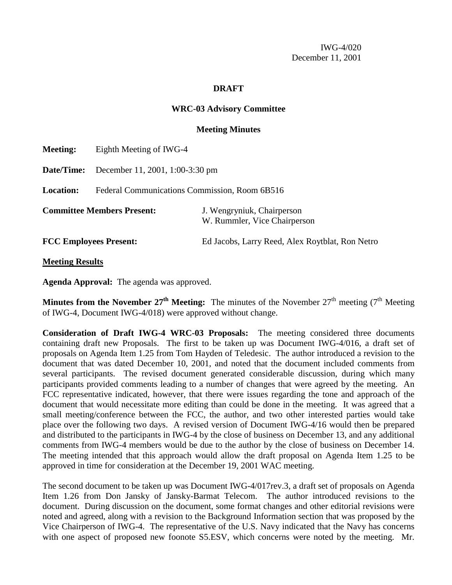IWG-4/020 December 11, 2001

#### **DRAFT**

## **WRC-03 Advisory Committee**

## **Meeting Minutes**

| <b>Meeting:</b>                   | Eighth Meeting of IWG-4                       |                                                            |  |  |  |  |
|-----------------------------------|-----------------------------------------------|------------------------------------------------------------|--|--|--|--|
| Date/Time:                        | December 11, 2001, 1:00-3:30 pm               |                                                            |  |  |  |  |
| <b>Location:</b>                  | Federal Communications Commission, Room 6B516 |                                                            |  |  |  |  |
| <b>Committee Members Present:</b> |                                               | J. Wengryniuk, Chairperson<br>W. Rummler, Vice Chairperson |  |  |  |  |
| <b>FCC Employees Present:</b>     |                                               | Ed Jacobs, Larry Reed, Alex Roytblat, Ron Netro            |  |  |  |  |
|                                   |                                               |                                                            |  |  |  |  |

**Meeting Results**

**Agenda Approval:** The agenda was approved.

**Minutes from the November 27<sup>th</sup> Meeting:** The minutes of the November  $27<sup>th</sup>$  meeting (7<sup>th</sup> Meeting of IWG-4, Document IWG-4/018) were approved without change.

**Consideration of Draft IWG-4 WRC-03 Proposals:** The meeting considered three documents containing draft new Proposals. The first to be taken up was Document IWG-4/016, a draft set of proposals on Agenda Item 1.25 from Tom Hayden of Teledesic. The author introduced a revision to the document that was dated December 10, 2001, and noted that the document included comments from several participants. The revised document generated considerable discussion, during which many participants provided comments leading to a number of changes that were agreed by the meeting. An FCC representative indicated, however, that there were issues regarding the tone and approach of the document that would necessitate more editing than could be done in the meeting. It was agreed that a small meeting/conference between the FCC, the author, and two other interested parties would take place over the following two days. A revised version of Document IWG-4/16 would then be prepared and distributed to the participants in IWG-4 by the close of business on December 13, and any additional comments from IWG-4 members would be due to the author by the close of business on December 14. The meeting intended that this approach would allow the draft proposal on Agenda Item 1.25 to be approved in time for consideration at the December 19, 2001 WAC meeting.

The second document to be taken up was Document IWG-4/017rev.3, a draft set of proposals on Agenda Item 1.26 from Don Jansky of Jansky-Barmat Telecom. The author introduced revisions to the document. During discussion on the document, some format changes and other editorial revisions were noted and agreed, along with a revision to the Background Information section that was proposed by the Vice Chairperson of IWG-4. The representative of the U.S. Navy indicated that the Navy has concerns with one aspect of proposed new foonote S5.ESV, which concerns were noted by the meeting. Mr.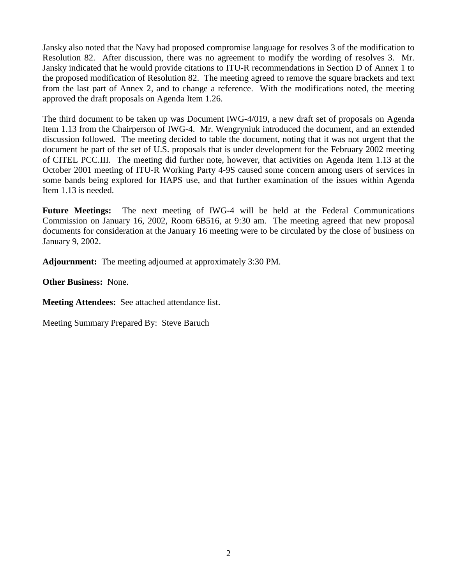Jansky also noted that the Navy had proposed compromise language for resolves 3 of the modification to Resolution 82. After discussion, there was no agreement to modify the wording of resolves 3. Mr. Jansky indicated that he would provide citations to ITU-R recommendations in Section D of Annex 1 to the proposed modification of Resolution 82. The meeting agreed to remove the square brackets and text from the last part of Annex 2, and to change a reference. With the modifications noted, the meeting approved the draft proposals on Agenda Item 1.26.

The third document to be taken up was Document IWG-4/019, a new draft set of proposals on Agenda Item 1.13 from the Chairperson of IWG-4. Mr. Wengryniuk introduced the document, and an extended discussion followed. The meeting decided to table the document, noting that it was not urgent that the document be part of the set of U.S. proposals that is under development for the February 2002 meeting of CITEL PCC.III. The meeting did further note, however, that activities on Agenda Item 1.13 at the October 2001 meeting of ITU-R Working Party 4-9S caused some concern among users of services in some bands being explored for HAPS use, and that further examination of the issues within Agenda Item 1.13 is needed.

**Future Meetings:** The next meeting of IWG-4 will be held at the Federal Communications Commission on January 16, 2002, Room 6B516, at 9:30 am. The meeting agreed that new proposal documents for consideration at the January 16 meeting were to be circulated by the close of business on January 9, 2002.

**Adjournment:** The meeting adjourned at approximately 3:30 PM.

**Other Business:** None.

**Meeting Attendees:** See attached attendance list.

Meeting Summary Prepared By: Steve Baruch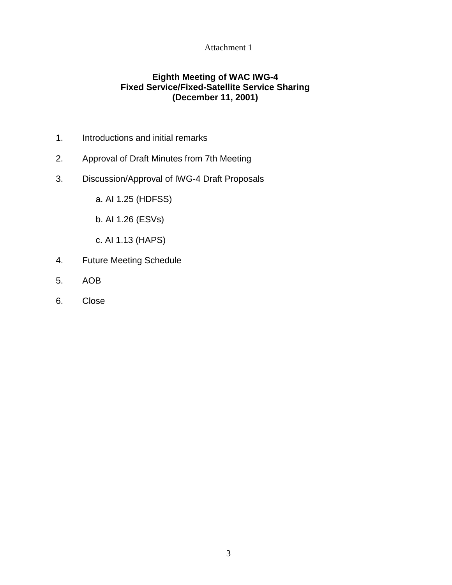## Attachment 1

## **Eighth Meeting of WAC IWG-4 Fixed Service/Fixed-Satellite Service Sharing (December 11, 2001)**

- 1. Introductions and initial remarks
- 2. Approval of Draft Minutes from 7th Meeting
- 3. Discussion/Approval of IWG-4 Draft Proposals
	- a. AI 1.25 (HDFSS)
	- b. AI 1.26 (ESVs)
	- c. AI 1.13 (HAPS)
- 4. Future Meeting Schedule
- 5. AOB
- 6. Close